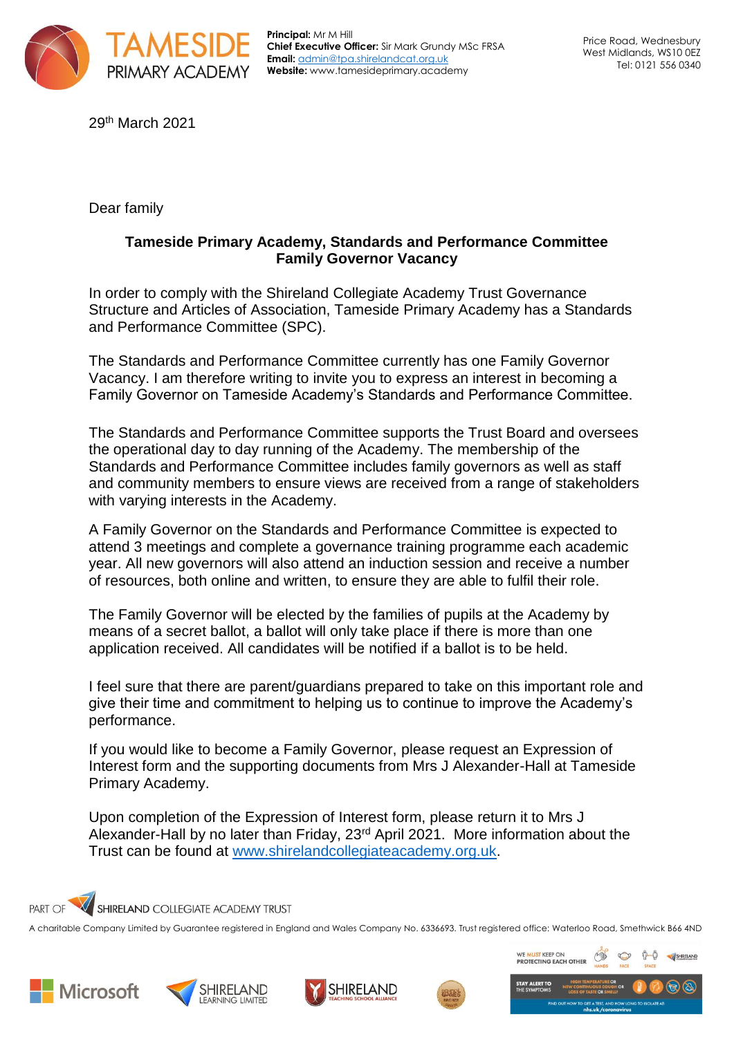

**Principal:** Mr M Hill **Chief Executive Officer:** Sir Mark Grundy MSc FRSA **Email:** [admin@tpa.shirelandcat.org.uk](mailto:admin@tpa.shirelandcat.org.uk) **Website:** www.tamesideprimary.academy

29th March 2021

Dear family

## **Tameside Primary Academy, Standards and Performance Committee Family Governor Vacancy**

In order to comply with the Shireland Collegiate Academy Trust Governance Structure and Articles of Association, Tameside Primary Academy has a Standards and Performance Committee (SPC).

The Standards and Performance Committee currently has one Family Governor Vacancy. I am therefore writing to invite you to express an interest in becoming a Family Governor on Tameside Academy's Standards and Performance Committee.

The Standards and Performance Committee supports the Trust Board and oversees the operational day to day running of the Academy. The membership of the Standards and Performance Committee includes family governors as well as staff and community members to ensure views are received from a range of stakeholders with varying interests in the Academy.

A Family Governor on the Standards and Performance Committee is expected to attend 3 meetings and complete a governance training programme each academic year. All new governors will also attend an induction session and receive a number of resources, both online and written, to ensure they are able to fulfil their role.

The Family Governor will be elected by the families of pupils at the Academy by means of a secret ballot, a ballot will only take place if there is more than one application received. All candidates will be notified if a ballot is to be held.

I feel sure that there are parent/guardians prepared to take on this important role and give their time and commitment to helping us to continue to improve the Academy's performance.

If you would like to become a Family Governor, please request an Expression of Interest form and the supporting documents from Mrs J Alexander-Hall at Tameside Primary Academy.

Upon completion of the Expression of Interest form, please return it to Mrs J Alexander-Hall by no later than Friday, 23rd April 2021. More information about the Trust can be found at [www.shirelandcollegiateacademy.org.uk.](http://www.shirelandcollegiateacademy.org.uk/)



A charitable Company Limited by Guarantee registered in England and Wales Company No. 6336693. Trust registered office: Waterloo Road, Smethwick B66 4ND